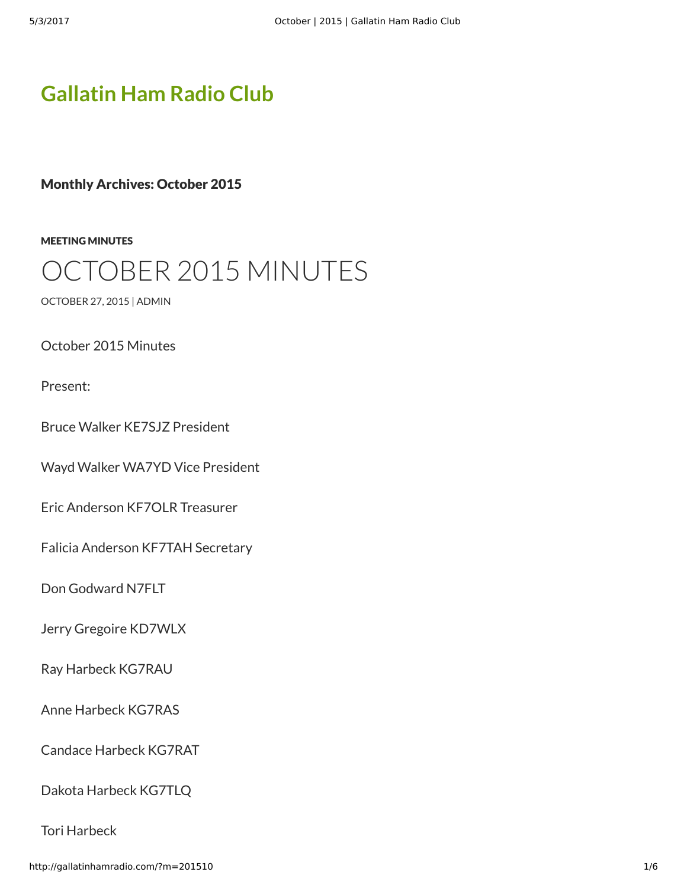# **[Gallatin Ham Radio Club](http://gallatinhamradio.com/)**

Monthly Archives: October 2015

[MEETING MINUTES](http://gallatinhamradio.com/?cat=2)

# CTOBER 2015 MINUTES

[OCTOBER 27, 2015](http://gallatinhamradio.com/?p=306) | [ADMIN](http://gallatinhamradio.com/?author=1)

October 2015 Minutes

Present:

Bruce Walker KE7SJZ President

Wayd Walker WA7YD Vice President

Eric Anderson KF7OLR Treasurer

Falicia Anderson KF7TAH Secretary

Don Godward N7FLT

Jerry Gregoire KD7WLX

Ray Harbeck KG7RAU

Anne Harbeck KG7RAS

Candace Harbeck KG7RAT

Dakota Harbeck KG7TLQ

Tori Harbeck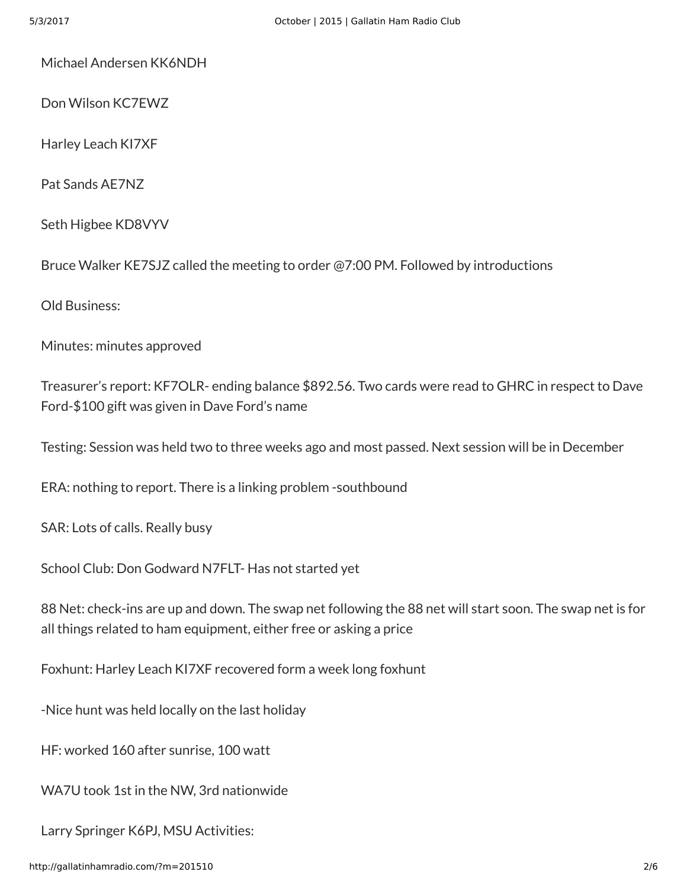Michael Andersen KK6NDH

Don Wilson KC7EWZ

Harley Leach KI7XF

Pat Sands AE7NZ

Seth Higbee KD8VYV

Bruce Walker KE7SJZ called the meeting to order @7:00 PM. Followed by introductions

Old Business:

Minutes: minutes approved

Treasurer's report: KF7OLR- ending balance \$892.56. Two cards were read to GHRC in respect to Dave Ford-\$100 gift was given in Dave Ford's name

Testing: Session was held two to three weeks ago and most passed. Next session will be in December

ERA: nothing to report. There is a linking problem -southbound

SAR: Lots of calls. Really busy

School Club: Don Godward N7FLT- Has not started yet

88 Net: check-ins are up and down. The swap net following the 88 net will start soon. The swap net is for all things related to ham equipment, either free or asking a price

Foxhunt: Harley Leach KI7XF recovered form a week long foxhunt

-Nice hunt was held locally on the last holiday

HF: worked 160 after sunrise, 100 watt

WA7U took 1st in the NW, 3rd nationwide

Larry Springer K6PJ, MSU Activities: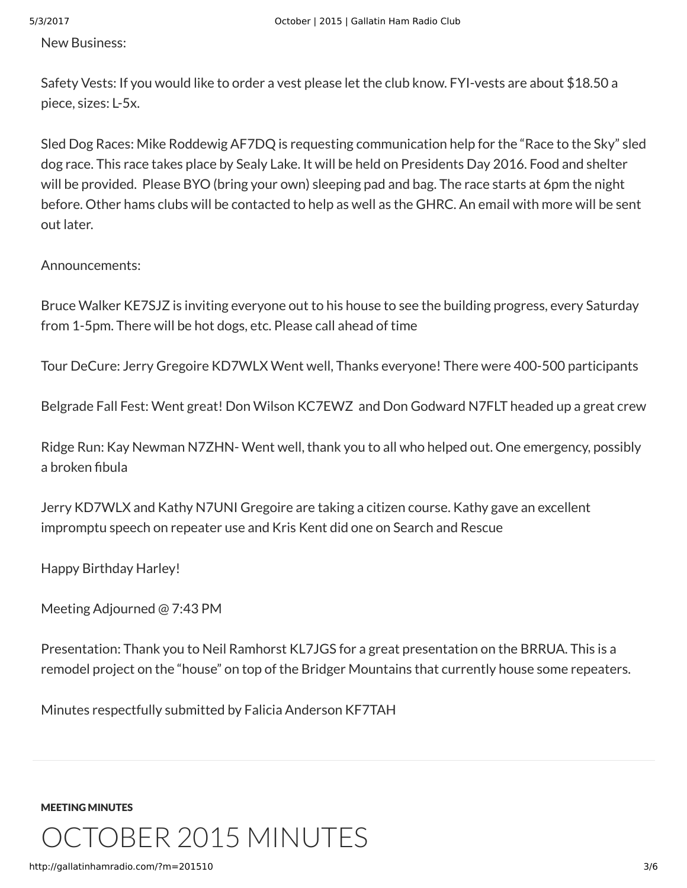New Business:

Safety Vests: If you would like to order a vest please let the club know. FYI-vests are about \$18.50 a piece, sizes: L-5x.

Sled Dog Races: Mike Roddewig AF7DQ is requesting communication help for the "Race to the Sky" sled dog race. This race takes place by Sealy Lake. It will be held on Presidents Day 2016. Food and shelter will be provided. Please BYO (bring your own) sleeping pad and bag. The race starts at 6pm the night before. Other hams clubs will be contacted to help as well as the GHRC. An email with more will be sent out later.

Announcements:

Bruce Walker KE7SJZ is inviting everyone out to his house to see the building progress, every Saturday from 1-5pm. There will be hot dogs, etc. Please call ahead of time

Tour DeCure: Jerry Gregoire KD7WLX Went well, Thanks everyone! There were 400-500 participants

Belgrade Fall Fest: Went great! Don Wilson KC7EWZ and Don Godward N7FLT headed up a great crew

Ridge Run: Kay Newman N7ZHN- Went well, thank you to all who helped out. One emergency, possibly a broken fibula

Jerry KD7WLX and Kathy N7UNI Gregoire are taking a citizen course. Kathy gave an excellent impromptu speech on repeater use and Kris Kent did one on Search and Rescue

Happy Birthday Harley!

Meeting Adjourned @ 7:43 PM

Presentation: Thank you to Neil Ramhorst KL7JGS for a great presentation on the BRRUA. This is a remodel project on the "house" on top of the Bridger Mountains that currently house some repeaters.

Minutes respectfully submitted by Falicia Anderson KF7TAH

[MEETING MINUTES](http://gallatinhamradio.com/?cat=2)

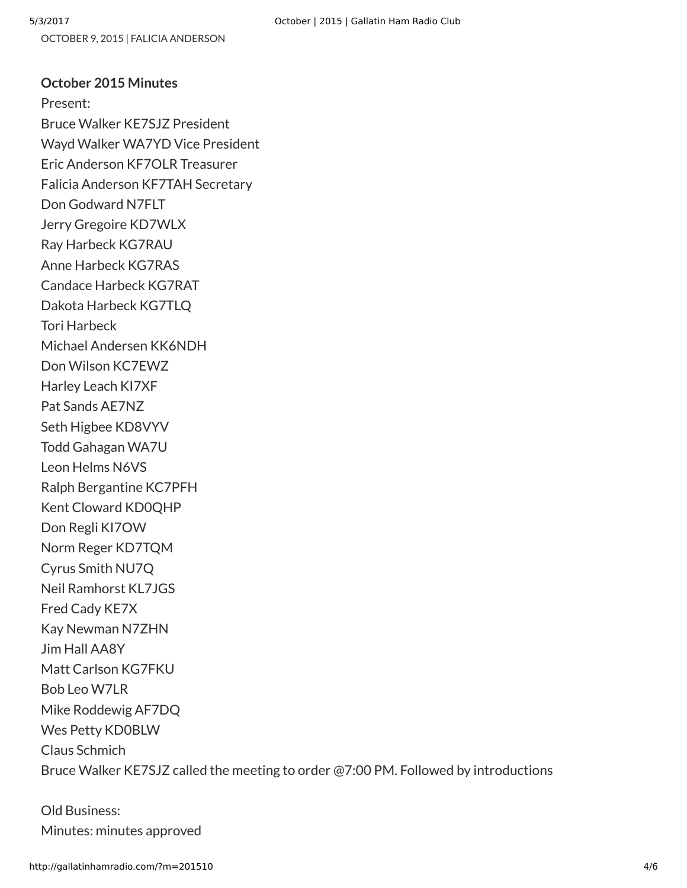#### **October 2015 Minutes**

Present: Bruce Walker KE7SJZ President Wayd Walker WA7YD Vice President Eric Anderson KF7OLR Treasurer Falicia Anderson KF7TAH Secretary Don Godward N7FLT Jerry Gregoire KD7WLX Ray Harbeck KG7RAU Anne Harbeck KG7RAS Candace Harbeck KG7RAT Dakota Harbeck KG7TLQ Tori Harbeck Michael Andersen KK6NDH Don Wilson KC7EWZ Harley Leach KI7XF Pat Sands AE7NZ Seth Higbee KD8VYV Todd Gahagan WA7U Leon Helms N6VS Ralph Bergantine KC7PFH Kent Cloward KD0QHP Don Regli KI7OW Norm Reger KD7TQM Cyrus Smith NU7Q Neil Ramhorst KL7JGS Fred Cady KE7X Kay Newman N7ZHN Jim Hall AA8Y Matt Carlson KG7FKU Bob Leo W7LR Mike Roddewig AF7DQ Wes Petty KD0BLW Claus Schmich Bruce Walker KE7SJZ called the meeting to order @7:00 PM. Followed by introductions

Old Business: Minutes: minutes approved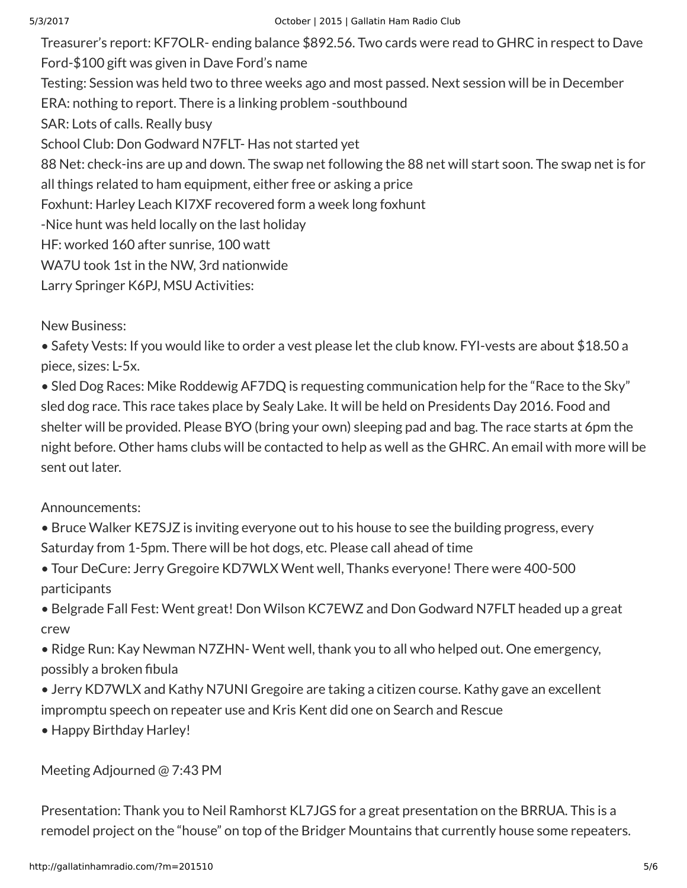Treasurer's report: KF7OLR- ending balance \$892.56. Two cards were read to GHRC in respect to Dave Ford-\$100 gift was given in Dave Ford's name Testing: Session was held two to three weeks ago and most passed. Next session will be in December ERA: nothing to report. There is a linking problem -southbound SAR: Lots of calls. Really busy School Club: Don Godward N7FLT- Has not started yet 88 Net: check-ins are up and down. The swap net following the 88 net will start soon. The swap net is for all things related to ham equipment, either free or asking a price Foxhunt: Harley Leach KI7XF recovered form a week long foxhunt -Nice hunt was held locally on the last holiday HF: worked 160 after sunrise, 100 watt WA7U took 1st in the NW, 3rd nationwide Larry Springer K6PJ, MSU Activities:

New Business:

• Safety Vests: If you would like to order a vest please let the club know. FYI-vests are about \$18.50 a piece, sizes: L-5x.

• Sled Dog Races: Mike Roddewig AF7DQ is requesting communication help for the "Race to the Sky" sled dog race. This race takes place by Sealy Lake. It will be held on Presidents Day 2016. Food and shelter will be provided. Please BYO (bring your own) sleeping pad and bag. The race starts at 6pm the night before. Other hams clubs will be contacted to help as well as the GHRC. An email with more will be sent out later.

## Announcements:

- Bruce Walker KE7SJZ is inviting everyone out to his house to see the building progress, every Saturday from 1-5pm. There will be hot dogs, etc. Please call ahead of time
- Tour DeCure: Jerry Gregoire KD7WLX Went well, Thanks everyone! There were 400-500 participants
- Belgrade Fall Fest: Went great! Don Wilson KC7EWZ and Don Godward N7FLT headed up a great crew
- Ridge Run: Kay Newman N7ZHN- Went well, thank you to all who helped out. One emergency, possibly a broken fibula
- Jerry KD7WLX and Kathy N7UNI Gregoire are taking a citizen course. Kathy gave an excellent impromptu speech on repeater use and Kris Kent did one on Search and Rescue
- Happy Birthday Harley!

## Meeting Adjourned @ 7:43 PM

Presentation: Thank you to Neil Ramhorst KL7JGS for a great presentation on the BRRUA. This is a remodel project on the "house" on top of the Bridger Mountains that currently house some repeaters.